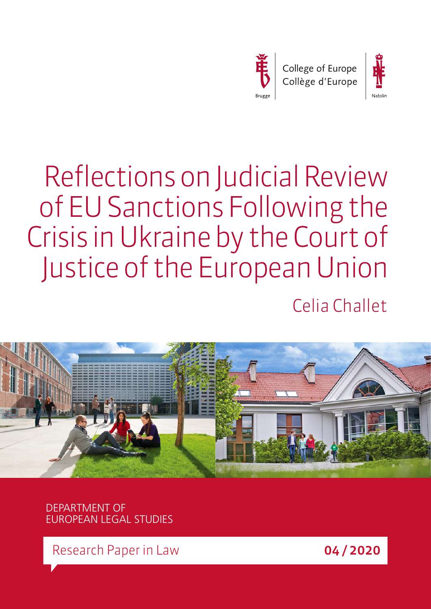



# Reflections on Judicial Review of EU Sanctions Following the Crisis in Ukraine by the Court of Justice of the European Union

Celia Challet



DEPARTMENT OF EUROPEAN LEGAL STUDIES

Research Paper in Law **04/2020**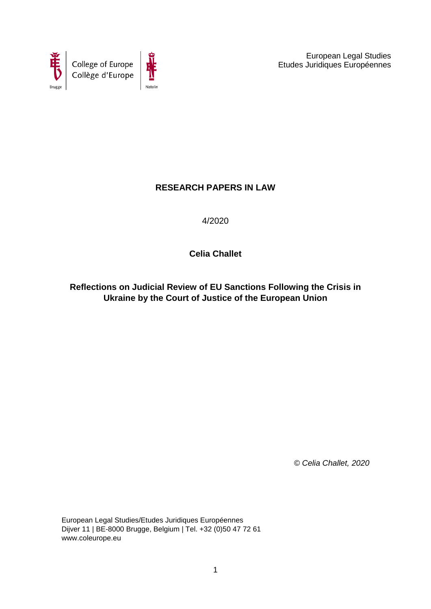



 European Legal Studies Etudes Juridiques Européennes

# **RESEARCH PAPERS IN LAW**

4/2020

**Celia Challet**

**Reflections on Judicial Review of EU Sanctions Following the Crisis in Ukraine by the Court of Justice of the European Union**

*© Celia Challet, 2020*

European Legal Studies/Etudes Juridiques Européennes Dijver 11 | BE-8000 Brugge, Belgium | Tel. +32 (0)50 47 72 61 www.coleurope.eu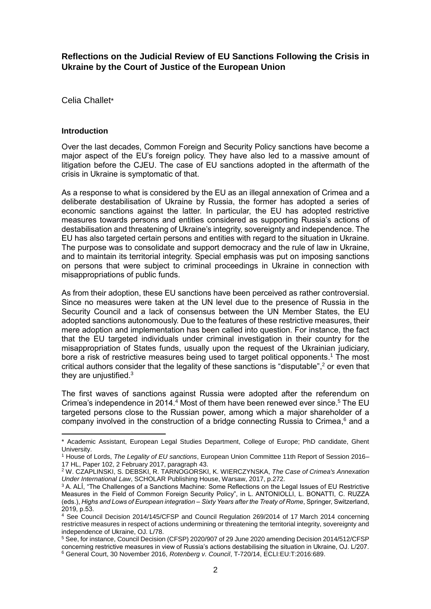**Reflections on the Judicial Review of EU Sanctions Following the Crisis in Ukraine by the Court of Justice of the European Union**

Celia Challet\*

## **Introduction**

**.** 

Over the last decades, Common Foreign and Security Policy sanctions have become a major aspect of the EU's foreign policy. They have also led to a massive amount of litigation before the CJEU. The case of EU sanctions adopted in the aftermath of the crisis in Ukraine is symptomatic of that.

As a response to what is considered by the EU as an illegal annexation of Crimea and a deliberate destabilisation of Ukraine by Russia, the former has adopted a series of economic sanctions against the latter. In particular, the EU has adopted restrictive measures towards persons and entities considered as supporting Russia's actions of destabilisation and threatening of Ukraine's integrity, sovereignty and independence. The EU has also targeted certain persons and entities with regard to the situation in Ukraine. The purpose was to consolidate and support democracy and the rule of law in Ukraine, and to maintain its territorial integrity. Special emphasis was put on imposing sanctions on persons that were subject to criminal proceedings in Ukraine in connection with misappropriations of public funds.

As from their adoption, these EU sanctions have been perceived as rather controversial. Since no measures were taken at the UN level due to the presence of Russia in the Security Council and a lack of consensus between the UN Member States, the EU adopted sanctions autonomously. Due to the features of these restrictive measures, their mere adoption and implementation has been called into question. For instance, the fact that the EU targeted individuals under criminal investigation in their country for the misappropriation of States funds, usually upon the request of the Ukrainian judiciary, bore a risk of restrictive measures being used to target political opponents. <sup>1</sup> The most critical authors consider that the legality of these sanctions is "disputable", <sup>2</sup> or even that they are unjustified.<sup>3</sup>

The first waves of sanctions against Russia were adopted after the referendum on Crimea's independence in 2014.<sup>4</sup> Most of them have been renewed ever since.<sup>5</sup> The EU targeted persons close to the Russian power, among which a major shareholder of a company involved in the construction of a bridge connecting Russia to Crimea, <sup>6</sup> and a

<sup>\*</sup> Academic Assistant, European Legal Studies Department, College of Europe; PhD candidate, Ghent University.

<sup>1</sup> House of Lords, *The Legality of EU sanctions*, European Union Committee 11th Report of Session 2016– 17 HL, Paper 102, 2 February 2017, paragraph 43.

<sup>2</sup> W. CZAPLINSKI, S. DEBSKI, R. TARNOGORSKI, K. WIERCZYNSKA, *The Case of Crimea's Annexation Under International Law*, SCHOLAR Publishing House, Warsaw, 2017, p.272.

<sup>3</sup> A. ALÍ, "The Challenges of a Sanctions Machine: Some Reflections on the Legal Issues of EU Restrictive Measures in the Field of Common Foreign Security Policy", in L. ANTONIOLLI, L. BONATTI, C. RUZZA (eds.), *Highs and Lows of European integration – Sixty Years after the Treaty of Rome*, Springer, Switzerland, 2019, p.53.

<sup>4</sup> See Council Decision 2014/145/CFSP and Council Regulation 269/2014 of 17 March 2014 concerning restrictive measures in respect of actions undermining or threatening the territorial integrity, sovereignty and independence of Ukraine, OJ. L/78.

<sup>5</sup> See, for instance, Council Decision (CFSP) 2020/907 of 29 June 2020 amending Decision 2014/512/CFSP concerning restrictive measures in view of Russia's actions destabilising the situation in Ukraine, OJ. L/207. <sup>6</sup> General Court, 30 November 2016, *Rotenberg v. Council*, T-720/14, ECLI:EU:T:2016:689.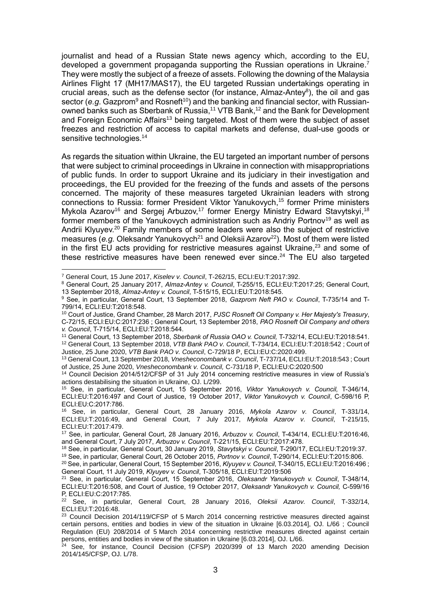journalist and head of a Russian State news agency which, according to the EU, developed a government propaganda supporting the Russian operations in Ukraine.<sup>7</sup> They were mostly the subject of a freeze of assets. Following the downing of the Malaysia Airlines Flight 17 (MH17/MAS17), the EU targeted Russian undertakings operating in crucial areas, such as the defense sector (for instance, Almaz-Antey<sup>8</sup>), the oil and gas sector (e.g. Gazprom<sup>9</sup> and Rosneft<sup>10</sup>) and the banking and financial sector, with Russianowned banks such as Sberbank of Russia,<sup>11</sup> VTB Bank,<sup>12</sup> and the Bank for Development and Foreign Economic Affairs<sup>13</sup> being targeted. Most of them were the subject of asset freezes and restriction of access to capital markets and defense, dual-use goods or sensitive technologies.<sup>14</sup>

As regards the situation within Ukraine, the EU targeted an important number of persons that were subject to criminal proceedings in Ukraine in connection with misappropriations of public funds. In order to support Ukraine and its judiciary in their investigation and proceedings, the EU provided for the freezing of the funds and assets of the persons concerned. The majority of these measures targeted Ukrainian leaders with strong connections to Russia: former President Viktor Yanukovych, <sup>15</sup> former Prime ministers Mykola Azarov<sup>16</sup> and Sergej Arbuzov,<sup>17</sup> former Energy Ministry Edward Stavytskyi,<sup>18</sup> former members of the Yanukovych administration such as Andriy Portnov<sup>19</sup> as well as Andrii Klyuyev.<sup>20</sup> Family members of some leaders were also the subject of restrictive measures (e.g. Oleksandr Yanukovych<sup>21</sup> and Oleksii Azarov<sup>22</sup>). Most of them were listed in the first EU acts providing for restrictive measures against Ukraine, $^{23}$  and some of these restrictive measures have been renewed ever since. $24$  The EU also targeted

<sup>20</sup> See, in particular, General Court, 15 September 2016, *Klyuyev v. Council*, T-340/15, ECLI:EU:T:2016:496 ; General Court, 11 July 2019, *Klyuyev v. Council*, T-305/18, ECLI:EU:T:2019:506

<sup>1</sup> <sup>7</sup> General Court, 15 June 2017, *Kiselev v. Council*, T-262/15, ECLI:EU:T:2017:392.

<sup>8</sup> General Court, 25 January 2017, *Almaz-Antey v. Council*, T-255/15, ECLI:EU:T:2017:25; General Court, 13 September 2018, *Almaz-Antey v. Council*, T-515/15, ECLI:EU:T:2018:545.

<sup>9</sup> See, in particular, General Court, 13 September 2018, *Gazprom Neft PAO v. Council*, T-735/14 and T-799/14, ECLI:EU:T:2018:548.

<sup>10</sup> Court of Justice, Grand Chamber, 28 March 2017, *PJSC Rosneft Oil Company v. Her Majesty's Treasury*, C-72/15, ECLI:EU:C:2017:236 ; General Court, 13 September 2018, *PAO Rosneft Oil Company and others v. Council*, T-715/14, ECLI:EU:T:2018:544.

<sup>11</sup> General Court, 13 September 2018, *Sberbank of Russia OAO v. Council,* T-732/14, ECLI:EU:T:2018:541.

<sup>12</sup> General Court, 13 September 2018, *VTB Bank PAO v. Council*, T-734/14, ECLI:EU:T:2018:542 ; Court of Justice, 25 June 2020, *VTB Bank PAO v. Council*, C-729/18 P, ECLI:EU:C:2020:499.

<sup>13</sup> General Court, 13 September 2018, *Vnesheconombank v. Council*, T-737/14, ECLI:EU:T:2018:543 ; Court of Justice, 25 June 2020, *Vnesheconombank v. Council,* C-731/18 P, ECLI:EU:C:2020:500

<sup>14</sup> Council Decision 2014/512/CFSP of 31 July 2014 concerning restrictive measures in view of Russia's actions destabilising the situation in Ukraine, OJ. L/299.

<sup>15</sup> See, in particular, General Court, 15 September 2016, *Viktor Yanukovych v. Council,* T-346/14, ECLI:EU:T:2016:497 and Court of Justice, 19 October 2017, *Viktor Yanukovych v. Council*, C-598/16 P, ECLI:EU:C:2017:786.<br><sup>16</sup> See in particula

<sup>16</sup> See, in particular, General Court, 28 January 2016, *Mykola Azarov v. Council*, T-331/14, ECLI:EU:T:2016:49, and General Court, 7 July 2017, *Mykola Azarov v. Council*, T-215/15, ECLI:EU:T:2017:479.

<sup>17</sup> See, in particular, General Court, 28 January 2016, *Arbuzov v. Council*, T-434/14, ECLI:EU:T:2016:46, and General Court, 7 July 2017, *Arbuzov v. Council*, T-221/15, ECLI:EU:T:2017:478.

<sup>18</sup> See, in particular, General Court, 30 January 2019, *Stavytskyi v. Council*, T-290/17, ECLI:EU:T:2019:37.

<sup>19</sup> See, in particular, General Court, 26 October 2015, *Portnov v. Council*, T-290/14, ECLI:EU:T:2015:806.

<sup>21</sup> See, in particular, General Court, 15 September 2016, *Oleksandr Yanukovych v. Council*, T-348/14, ECLI:EU:T:2016:508, and Court of Justice, 19 October 2017, *Oleksandr Yanukovych v. Council,* C-599/16 P, ECLI:EU:C:2017:785.

<sup>22</sup> See, in particular, General Court, 28 January 2016, *Oleksii Azarov. Council*, T-332/14, ECLI:EU:T:2016:48.

<sup>&</sup>lt;sup>23</sup> Council Decision 2014/119/CFSP of 5 March 2014 concerning restrictive measures directed against certain persons, entities and bodies in view of the situation in Ukraine [6.03.2014], OJ. L/66 ; Council Regulation (EU) 208/2014 of 5 March 2014 concerning restrictive measures directed against certain persons, entities and bodies in view of the situation in Ukraine [6.03.2014], OJ. L/66.

 $24$  See, for instance, Council Decision (CFSP) 2020/399 of 13 March 2020 amending Decision 2014/145/CFSP, OJ. L/78.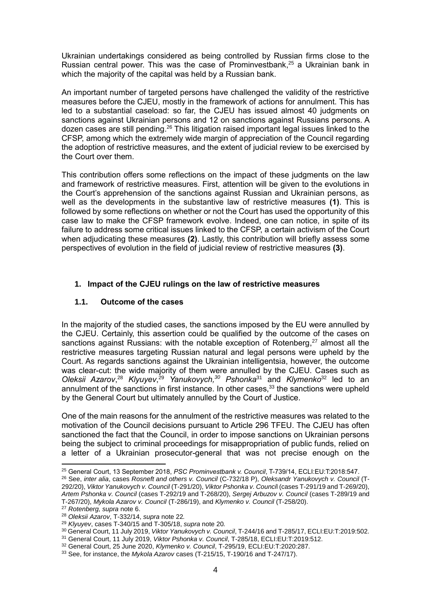Ukrainian undertakings considered as being controlled by Russian firms close to the Russian central power. This was the case of Prominvestbank, <sup>25</sup> a Ukrainian bank in which the majority of the capital was held by a Russian bank.

An important number of targeted persons have challenged the validity of the restrictive measures before the CJEU, mostly in the framework of actions for annulment. This has led to a substantial caseload: so far, the CJEU has issued almost 40 judgments on sanctions against Ukrainian persons and 12 on sanctions against Russians persons. A dozen cases are still pending.<sup>26</sup> This litigation raised important legal issues linked to the CFSP, among which the extremely wide margin of appreciation of the Council regarding the adoption of restrictive measures, and the extent of judicial review to be exercised by the Court over them.

This contribution offers some reflections on the impact of these judgments on the law and framework of restrictive measures. First, attention will be given to the evolutions in the Court's apprehension of the sanctions against Russian and Ukrainian persons, as well as the developments in the substantive law of restrictive measures **(1)**. This is followed by some reflections on whether or not the Court has used the opportunity of this case law to make the CFSP framework evolve. Indeed, one can notice, in spite of its failure to address some critical issues linked to the CFSP, a certain activism of the Court when adjudicating these measures **(2)**. Lastly, this contribution will briefly assess some perspectives of evolution in the field of judicial review of restrictive measures **(3)**.

# **1. Impact of the CJEU rulings on the law of restrictive measures**

## **1.1. Outcome of the cases**

In the majority of the studied cases, the sanctions imposed by the EU were annulled by the CJEU. Certainly, this assertion could be qualified by the outcome of the cases on sanctions against Russians: with the notable exception of Rotenberg, $27$  almost all the restrictive measures targeting Russian natural and legal persons were upheld by the Court. As regards sanctions against the Ukrainian intelligentsia, however, the outcome was clear-cut: the wide majority of them were annulled by the CJEU. Cases such as *Oleksii Azarov*, <sup>28</sup> *Klyuyev*, <sup>29</sup> *Yanukovych, <sup>30</sup> Pshonka*<sup>31</sup> and *Klymenko*<sup>32</sup> led to an annulment of the sanctions in first instance. In other cases, <sup>33</sup> the sanctions were upheld by the General Court but ultimately annulled by the Court of Justice.

One of the main reasons for the annulment of the restrictive measures was related to the motivation of the Council decisions pursuant to Article 296 TFEU. The CJEU has often sanctioned the fact that the Council, in order to impose sanctions on Ukrainian persons being the subject to criminal proceedings for misappropriation of public funds, relied on a letter of a Ukrainian prosecutor-general that was not precise enough on the

<sup>25</sup> General Court, 13 September 2018, *PSC Prominvestbank v. Council*, T-739/14, ECLI:EU:T:2018:547.

<sup>26</sup> See, *inter alia*, cases *Rosneft and others v. Council* (C-732/18 P), *Oleksandr Yanukovych v. Council* (T-292/20), *Viktor Yanukovych v. Council* (T-291/20), *Viktor Pshonka v. Counci*l (cases T-291/19 and T-269/20), *Artem Pshonka v. Council* (cases T-292/19 and T-268/20), *Sergej Arbuzov v. Council* (cases T-289/19 and T-267/20), *Mykola Azarov v. Council* (T-286/19), and *Klymenko v. Council* (T-258/20).

<sup>27</sup> *Rotenberg, supra* note 6.

<sup>28</sup> *Oleksii Azarov*, T-332/14, *supra* note 22*.*

<sup>29</sup> *Klyuyev*, cases T-340/15 and T-305/18, *supra* note 20*.*

<sup>30</sup> General Court, 11 July 2019, *Viktor Yanukovych v. Council*, T-244/16 and T-285/17, ECLI:EU:T:2019:502.

<sup>31</sup> General Court, 11 July 2019, *Viktor Pshonka v. Council*, T-285/18, ECLI:EU:T:2019:512.

<sup>32</sup> General Court, 25 June 2020, *Klymenko v. Council*, T-295/19, ECLI:EU:T:2020:287.

<sup>33</sup> See, for instance, the *Mykola Azarov* cases (T-215/15, T-190/16 and T-247/17).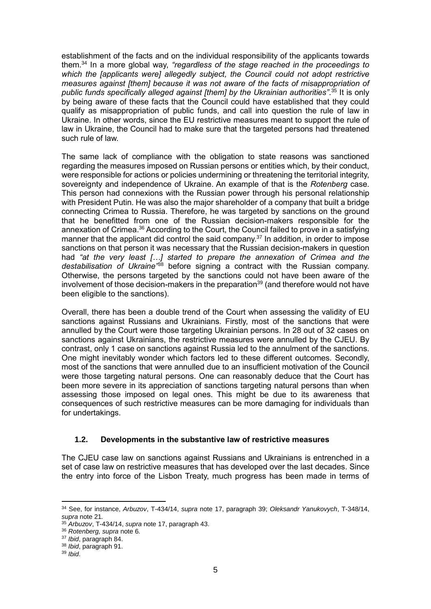establishment of the facts and on the individual responsibility of the applicants towards them. <sup>34</sup> In a more global way, *"regardless of the stage reached in the proceedings to which the [applicants were] allegedly subject, the Council could not adopt restrictive measures against [them] because it was not aware of the facts of misappropriation of public funds specifically alleged against [them] by the Ukrainian authorities"*. <sup>35</sup> It is only by being aware of these facts that the Council could have established that they could qualify as misappropriation of public funds, and call into question the rule of law in Ukraine. In other words, since the EU restrictive measures meant to support the rule of law in Ukraine, the Council had to make sure that the targeted persons had threatened such rule of law.

The same lack of compliance with the obligation to state reasons was sanctioned regarding the measures imposed on Russian persons or entities which, by their conduct, were responsible for actions or policies undermining or threatening the territorial integrity, sovereignty and independence of Ukraine. An example of that is the *Rotenberg* case. This person had connexions with the Russian power through his personal relationship with President Putin. He was also the major shareholder of a company that built a bridge connecting Crimea to Russia. Therefore, he was targeted by sanctions on the ground that he benefitted from one of the Russian decision-makers responsible for the annexation of Crimea.<sup>36</sup> According to the Court, the Council failed to prove in a satisfying manner that the applicant did control the said company.<sup>37</sup> In addition, in order to impose sanctions on that person it was necessary that the Russian decision-makers in question had *"at the very least […] started to prepare the annexation of Crimea and the destabilisation of Ukraine"*<sup>38</sup> before signing a contract with the Russian company. Otherwise, the persons targeted by the sanctions could not have been aware of the involvement of those decision-makers in the preparation<sup>39</sup> (and therefore would not have been eligible to the sanctions).

Overall, there has been a double trend of the Court when assessing the validity of EU sanctions against Russians and Ukrainians. Firstly, most of the sanctions that were annulled by the Court were those targeting Ukrainian persons. In 28 out of 32 cases on sanctions against Ukrainians, the restrictive measures were annulled by the CJEU. By contrast, only 1 case on sanctions against Russia led to the annulment of the sanctions. One might inevitably wonder which factors led to these different outcomes. Secondly, most of the sanctions that were annulled due to an insufficient motivation of the Council were those targeting natural persons. One can reasonably deduce that the Court has been more severe in its appreciation of sanctions targeting natural persons than when assessing those imposed on legal ones. This might be due to its awareness that consequences of such restrictive measures can be more damaging for individuals than for undertakings.

## **1.2. Developments in the substantive law of restrictive measures**

The CJEU case law on sanctions against Russians and Ukrainians is entrenched in a set of case law on restrictive measures that has developed over the last decades. Since the entry into force of the Lisbon Treaty, much progress has been made in terms of

<sup>34</sup> See, for instance, *Arbuzov*, T-434/14, *supra* note 17, paragraph 39; *Oleksandr Yanukovych*, T-348/14, *supra* note 21*.*

<sup>35</sup> *Arbuzov*, T-434/14, *supra* note 17, paragraph 43.

<sup>36</sup> *Rotenberg, supra* note 6*.*

<sup>37</sup> *Ibid*, paragraph 84.

<sup>38</sup> *Ibid*, paragraph 91.

<sup>39</sup> *Ibid*.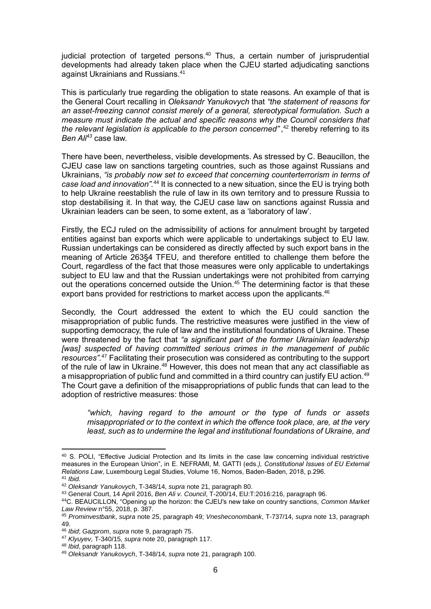judicial protection of targeted persons.<sup>40</sup> Thus, a certain number of jurisprudential developments had already taken place when the CJEU started adjudicating sanctions against Ukrainians and Russians. 41

This is particularly true regarding the obligation to state reasons. An example of that is the General Court recalling in *Oleksandr Yanukovych* that *"the statement of reasons for an asset-freezing cannot consist merely of a general, stereotypical formulation. Such a measure must indicate the actual and specific reasons why the Council considers that the relevant legislation is applicable to the person concerned"* , <sup>42</sup> thereby referring to its *Ben Ali<sup>43</sup>* case law.

There have been, nevertheless, visible developments. As stressed by C. Beaucillon, the CJEU case law on sanctions targeting countries, such as those against Russians and Ukrainians, *"is probably now set to exceed that concerning counterterrorism in terms of*  case load and innovation<sup>", 44</sup> It is connected to a new situation, since the EU is trying both to help Ukraine reestablish the rule of law in its own territory and to pressure Russia to stop destabilising it. In that way, the CJEU case law on sanctions against Russia and Ukrainian leaders can be seen, to some extent, as a 'laboratory of law'.

Firstly, the ECJ ruled on the admissibility of actions for annulment brought by targeted entities against ban exports which were applicable to undertakings subject to EU law. Russian undertakings can be considered as directly affected by such export bans in the meaning of Article 263§4 TFEU, and therefore entitled to challenge them before the Court, regardless of the fact that those measures were only applicable to undertakings subject to EU law and that the Russian undertakings were not prohibited from carrying out the operations concerned outside the Union. <sup>45</sup> The determining factor is that these export bans provided for restrictions to market access upon the applicants.<sup>46</sup>

Secondly, the Court addressed the extent to which the EU could sanction the misappropriation of public funds. The restrictive measures were justified in the view of supporting democracy, the rule of law and the institutional foundations of Ukraine. These were threatened by the fact that *"a significant part of the former Ukrainian leadership [was] suspected of having committed serious crimes in the management of public resources"*. <sup>47</sup> Facilitating their prosecution was considered as contributing to the support of the rule of law in Ukraine.<sup>48</sup> However, this does not mean that any act classifiable as a misappropriation of public fund and committed in a third country can justify EU action.<sup>49</sup> The Court gave a definition of the misappropriations of public funds that can lead to the adoption of restrictive measures: those

*"which, having regard to the amount or the type of funds or assets misappropriated or to the context in which the offence took place, are, at the very least, such as to undermine the legal and institutional foundations of Ukraine, and* 

<sup>40</sup> S. POLI, "Effective Judicial Protection and Its limits in the case law concerning individual restrictive measures in the European Union", in E. NEFRAMI, M. GATTI (eds.*), Constitutional Issues of EU External Relations Law*, Luxembourg Legal Studies, Volume 16, Nomos, Baden-Baden, 2018, p.296. <sup>41</sup> *Ibid.*

<sup>42</sup> *Oleksandr Yanukovych*, T-348/14, *supra* note 21*,* paragraph 80.

<sup>43</sup> General Court, 14 April 2016, *Ben Ali v. Council*, T-200/14, EU:T:2016:216, paragraph 96.

<sup>44</sup>C. BEAUCILLON, "Opening up the horizon: the CJEU's new take on country sanctions, *Common Market Law Review* n°55, 2018, p. 387.

<sup>45</sup> *Prominvestbank*, *supra* note 25, paragraph 49; *Vnesheconombank*, T-737/14, *supra* note 13, paragraph 49.

<sup>46</sup> *Ibid*; *Gazprom*, *supra* note 9, paragraph 75.

<sup>47</sup> *Klyuyev,* T-340/15*, supra* note 20, paragraph 117.

<sup>48</sup> *Ibid*, paragraph 118.

<sup>49</sup> *Oleksandr Yanukovych*, T-348/14, *supra* note 21, paragraph 100.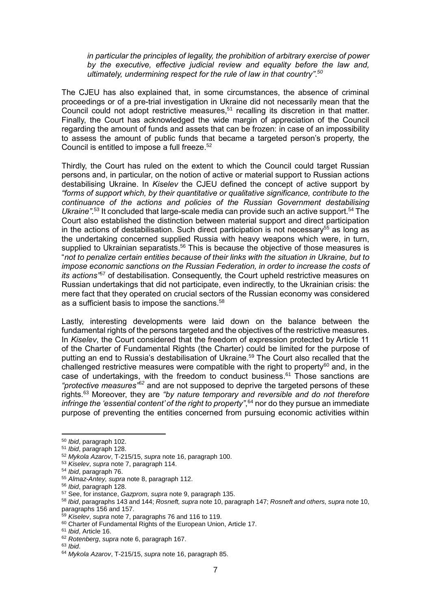*in particular the principles of legality, the prohibition of arbitrary exercise of power by the executive, effective judicial review and equality before the law and, ultimately, undermining respect for the rule of law in that country"*. *50*

The CJEU has also explained that, in some circumstances, the absence of criminal proceedings or of a pre-trial investigation in Ukraine did not necessarily mean that the Council could not adopt restrictive measures,<sup>51</sup> recalling its discretion in that matter. Finally, the Court has acknowledged the wide margin of appreciation of the Council regarding the amount of funds and assets that can be frozen: in case of an impossibility to assess the amount of public funds that became a targeted person's property, the Council is entitled to impose a full freeze. 52

Thirdly, the Court has ruled on the extent to which the Council could target Russian persons and, in particular, on the notion of active or material support to Russian actions destabilising Ukraine. In *Kiselev* the CJEU defined the concept of active support by *"forms of support which, by their quantitative or qualitative significance, contribute to the continuance of the actions and policies of the Russian Government destabilising*  Ukraine".<sup>53</sup> It concluded that large-scale media can provide such an active support.<sup>54</sup> The Court also established the distinction between material support and direct participation in the actions of destabilisation. Such direct participation is not necessary<sup>55</sup> as long as the undertaking concerned supplied Russia with heavy weapons which were, in turn, supplied to Ukrainian separatists.<sup>56</sup> This is because the objective of those measures is "*not to penalize certain entities because of their links with the situation in Ukraine, but to impose economic sanctions on the Russian Federation, in order to increase the costs of its actions"* <sup>57</sup> of destabilisation. Consequently, the Court upheld restrictive measures on Russian undertakings that did not participate, even indirectly, to the Ukrainian crisis: the mere fact that they operated on crucial sectors of the Russian economy was considered as a sufficient basis to impose the sanctions. 58

Lastly, interesting developments were laid down on the balance between the fundamental rights of the persons targeted and the objectives of the restrictive measures. In *Kiselev*, the Court considered that the freedom of expression protected by Article 11 of the Charter of Fundamental Rights (the Charter) could be limited for the purpose of putting an end to Russia's destabilisation of Ukraine. <sup>59</sup> The Court also recalled that the challenged restrictive measures were compatible with the right to property<sup>60</sup> and, in the case of undertakings, with the freedom to conduct business. <sup>61</sup> Those sanctions are *"protective measures"<sup>62</sup>* and are not supposed to deprive the targeted persons of these rights. <sup>63</sup> Moreover, they are *"by nature temporary and reversible and do not therefore infringe the 'essential content' of the right to property"*, <sup>64</sup> nor do they pursue an immediate purpose of preventing the entities concerned from pursuing economic activities within

**.** 

<sup>50</sup> *Ibid*, paragraph 102.

<sup>51</sup> *Ibid*, paragraph 128.

<sup>52</sup> *Mykola Azarov*, T-215/15, *supra* note 16, paragraph 100.

<sup>53</sup> *Kiselev*, *supra* note 7, paragraph 114.

<sup>54</sup> *Ibid*, paragraph 76.

<sup>55</sup> *Almaz-Antey, supra* note 8, paragraph 112.

<sup>56</sup> *Ibid*, paragraph 128.

<sup>57</sup> See, for instance, *Gazprom, supra* note 9, paragraph 135.

<sup>58</sup> *Ibid*, paragraphs 143 and 144; *Rosneft, supra* note 10, paragraph 147; *Rosneft and others, supra* note 10, paragraphs 156 and 157.

<sup>59</sup> *Kiselev*, *supra* note 7, paragraphs 76 and 116 to 119.

<sup>60</sup> Charter of Fundamental Rights of the European Union, Article 17.

<sup>61</sup> *Ibid*, Article 16.

<sup>62</sup> *Rotenberg*, *supra* note 6, paragraph 167.

<sup>63</sup> *Ibid*.

<sup>64</sup> *Mykola Azarov*, T-215/15, *supra* note 16, paragraph 85.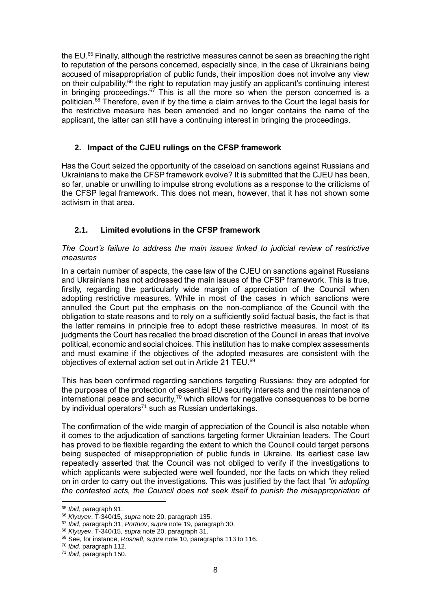the EU.<sup>65</sup> Finally, although the restrictive measures cannot be seen as breaching the right to reputation of the persons concerned, especially since, in the case of Ukrainians being accused of misappropriation of public funds, their imposition does not involve any view on their culpability,<sup>66</sup> the right to reputation may justify an applicant's continuing interest in bringing proceedings. $67$  This is all the more so when the person concerned is a politician. <sup>68</sup> Therefore, even if by the time a claim arrives to the Court the legal basis for the restrictive measure has been amended and no longer contains the name of the applicant, the latter can still have a continuing interest in bringing the proceedings.

# **2. Impact of the CJEU rulings on the CFSP framework**

Has the Court seized the opportunity of the caseload on sanctions against Russians and Ukrainians to make the CFSP framework evolve? It is submitted that the CJEU has been, so far, unable or unwilling to impulse strong evolutions as a response to the criticisms of the CFSP legal framework. This does not mean, however, that it has not shown some activism in that area.

# **2.1. Limited evolutions in the CFSP framework**

## *The Court's failure to address the main issues linked to judicial review of restrictive measures*

In a certain number of aspects, the case law of the CJEU on sanctions against Russians and Ukrainians has not addressed the main issues of the CFSP framework. This is true, firstly, regarding the particularly wide margin of appreciation of the Council when adopting restrictive measures. While in most of the cases in which sanctions were annulled the Court put the emphasis on the non-compliance of the Council with the obligation to state reasons and to rely on a sufficiently solid factual basis, the fact is that the latter remains in principle free to adopt these restrictive measures. In most of its judgments the Court has recalled the broad discretion of the Council in areas that involve political, economic and social choices. This institution has to make complex assessments and must examine if the objectives of the adopted measures are consistent with the objectives of external action set out in Article 21 TEU.<sup>69</sup>

This has been confirmed regarding sanctions targeting Russians: they are adopted for the purposes of the protection of essential EU security interests and the maintenance of international peace and security,<sup>70</sup> which allows for negative consequences to be borne by individual operators $71$  such as Russian undertakings.

The confirmation of the wide margin of appreciation of the Council is also notable when it comes to the adjudication of sanctions targeting former Ukrainian leaders. The Court has proved to be flexible regarding the extent to which the Council could target persons being suspected of misappropriation of public funds in Ukraine. Its earliest case law repeatedly asserted that the Council was not obliged to verify if the investigations to which applicants were subjected were well founded, nor the facts on which they relied on in order to carry out the investigations. This was justified by the fact that *"in adopting the contested acts, the Council does not seek itself to punish the misappropriation of* 

<sup>65</sup> *Ibid*, paragraph 91.

<sup>66</sup> *Klyuyev*, T-340/15, *supra* note 20, paragraph 135.

<sup>67</sup> *Ibid*, paragraph 31; *Portnov*, *supra* note 19, paragraph 30.

<sup>68</sup> *Klyuyev*, T-340/15, *supra* note 20, paragraph 31.

<sup>69</sup> See, for instance, *Rosneft, supra* note 10, paragraphs 113 to 116.

<sup>70</sup> *Ibid*, paragraph 112.

<sup>71</sup> *Ibid*, paragraph 150.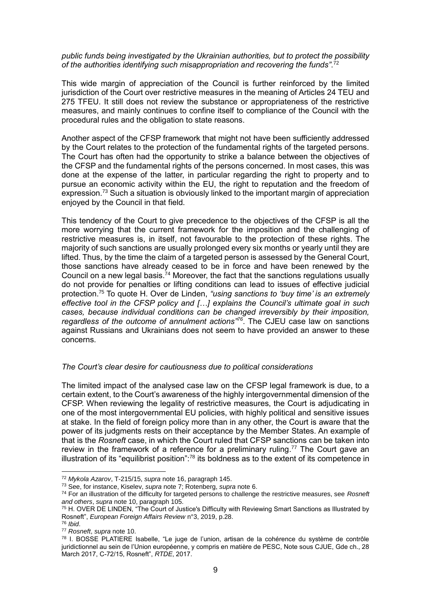*public funds being investigated by the Ukrainian authorities, but to protect the possibility*  of the authorities identifying such misappropriation and recovering the funds".<sup>72</sup>

This wide margin of appreciation of the Council is further reinforced by the limited jurisdiction of the Court over restrictive measures in the meaning of Articles 24 TEU and 275 TFEU. It still does not review the substance or appropriateness of the restrictive measures, and mainly continues to confine itself to compliance of the Council with the procedural rules and the obligation to state reasons.

Another aspect of the CFSP framework that might not have been sufficiently addressed by the Court relates to the protection of the fundamental rights of the targeted persons. The Court has often had the opportunity to strike a balance between the objectives of the CFSP and the fundamental rights of the persons concerned. In most cases, this was done at the expense of the latter, in particular regarding the right to property and to pursue an economic activity within the EU, the right to reputation and the freedom of expression.<sup>73</sup> Such a situation is obviously linked to the important margin of appreciation enjoyed by the Council in that field.

This tendency of the Court to give precedence to the objectives of the CFSP is all the more worrying that the current framework for the imposition and the challenging of restrictive measures is, in itself, not favourable to the protection of these rights. The majority of such sanctions are usually prolonged every six months or yearly until they are lifted. Thus, by the time the claim of a targeted person is assessed by the General Court, those sanctions have already ceased to be in force and have been renewed by the Council on a new legal basis.<sup>74</sup> Moreover, the fact that the sanctions regulations usually do not provide for penalties or lifting conditions can lead to issues of effective judicial protection. <sup>75</sup> To quote H. Over de Linden, *"using sanctions to 'buy time' is an extremely effective tool in the CFSP policy and […] explains the Council's ultimate goal in such cases, because individual conditions can be changed irreversibly by their imposition, regardless of the outcome of annulment actions"<sup>76</sup>* . The CJEU case law on sanctions against Russians and Ukrainians does not seem to have provided an answer to these concerns.

#### *The Court's clear desire for cautiousness due to political considerations*

The limited impact of the analysed case law on the CFSP legal framework is due, to a certain extent, to the Court's awareness of the highly intergovernmental dimension of the CFSP. When reviewing the legality of restrictive measures, the Court is adjudicating in one of the most intergovernmental EU policies, with highly political and sensitive issues at stake. In the field of foreign policy more than in any other, the Court is aware that the power of its judgments rests on their acceptance by the Member States. An example of that is the *Rosneft* case, in which the Court ruled that CFSP sanctions can be taken into review in the framework of a reference for a preliminary ruling.<sup>77</sup> The Court gave an illustration of its "equilibrist position": $78$  its boldness as to the extent of its competence in

**.** 

<sup>72</sup> *Mykola Azarov*, T-215/15, *supra* note 16, paragraph 145.

<sup>73</sup> See, for instance, Kiselev, *supra* note 7; Rotenberg, *supra* note 6.

<sup>74</sup> For an illustration of the difficulty for targeted persons to challenge the restrictive measures, see *Rosneft and others*, *supra* note 10, paragraph 105.

 $75$  H. OVER DE LINDEN, "The Court of Justice's Difficulty with Reviewing Smart Sanctions as Illustrated by Rosneft", *European Foreign Affairs Review* n°3, 2019, p.28.

<sup>76</sup> *Ibid*.

<sup>77</sup> *Rosneft*, *supra* note 10.

<sup>78</sup> I. BOSSE PLATIERE Isabelle, "Le juge de l'union, artisan de la cohérence du système de contrôle juridictionnel au sein de l'Union européenne, y compris en matière de PESC, Note sous CJUE, Gde ch., 28 March 2017, C-72/15, Rosneft", *RTDE*, 2017.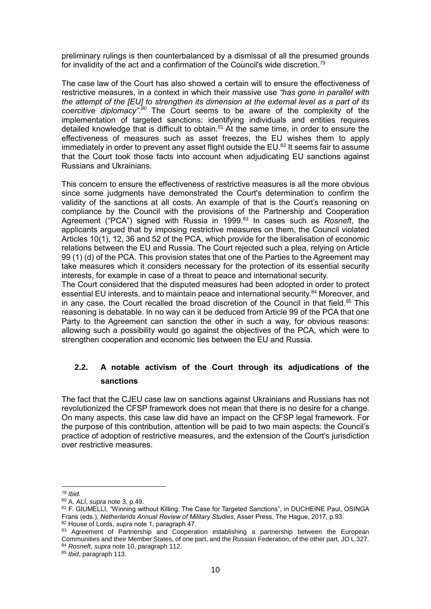preliminary rulings is then counterbalanced by a dismissal of all the presumed grounds for invalidity of the act and a confirmation of the Council's wide discretion.<sup>79</sup>

The case law of the Court has also showed a certain will to ensure the effectiveness of restrictive measures, in a context in which their massive use *"has gone in parallel with the attempt of the [EU] to strengthen its dimension at the external level as a part of its coercitive diplomacy"*. *<sup>80</sup>* The Court seems to be aware of the complexity of the implementation of targeted sanctions: identifying individuals and entities requires detailed knowledge that is difficult to obtain. <sup>81</sup> At the same time, in order to ensure the effectiveness of measures such as asset freezes, the EU wishes them to apply immediately in order to prevent any asset flight outside the EU.<sup>82</sup> It seems fair to assume that the Court took those facts into account when adjudicating EU sanctions against Russians and Ukrainians.

This concern to ensure the effectiveness of restrictive measures is all the more obvious since some judgments have demonstrated the Court's determination to confirm the validity of the sanctions at all costs. An example of that is the Court's reasoning on compliance by the Council with the provisions of the Partnership and Cooperation Agreement ("PCA") signed with Russia in 1999. <sup>83</sup> In cases such as *Rosneft*, the applicants argued that by imposing restrictive measures on them, the Council violated Articles 10(1), 12, 36 and 52 of the PCA, which provide for the liberalisation of economic relations between the EU and Russia. The Court rejected such a plea, relying on Article 99 (1) (d) of the PCA. This provision states that one of the Parties to the Agreement may take measures which it considers necessary for the protection of its essential security interests, for example in case of a threat to peace and international security.

The Court considered that the disputed measures had been adopted in order to protect essential EU interests, and to maintain peace and international security.<sup>84</sup> Moreover, and in any case, the Court recalled the broad discretion of the Council in that field. $85$  This reasoning is debatable. In no way can it be deduced from Article 99 of the PCA that one Party to the Agreement can sanction the other in such a way, for obvious reasons: allowing such a possibility would go against the objectives of the PCA, which were to strengthen cooperation and economic ties between the EU and Russia.

# **2.2. A notable activism of the Court through its adjudications of the sanctions**

The fact that the CJEU case law on sanctions against Ukrainians and Russians has not revolutionized the CFSP framework does not mean that there is no desire for a change. On many aspects, this case law did have an impact on the CFSP legal framework. For the purpose of this contribution, attention will be paid to two main aspects: the Council's practice of adoption of restrictive measures, and the extension of the Court's jurisdiction over restrictive measures.

<sup>1</sup> <sup>79</sup> *Ibid.*

<sup>80</sup> A. ALÍ, *supra* note 3, p.49.

<sup>81</sup> F. GIUMELLI, "Winning without Killing: The Case for Targeted Sanctions", in DUCHEINE Paul, OSINGA Frans (eds.), *Netherlands Annual Review of Military Studies*, Asser Press, The Hague, 2017, p.93.

<sup>82</sup> House of Lords, *supra* note 1, paragraph 47.

<sup>83</sup> Agreement of Partnership and Cooperation establishing a partnership between the European Communities and their Member States, of one part, and the Russian Federation, of the other part, JO L.327. <sup>84</sup> *Rosneft*, *supra* note 10, paragraph 112.

<sup>85</sup> *Ibid*, paragraph 113.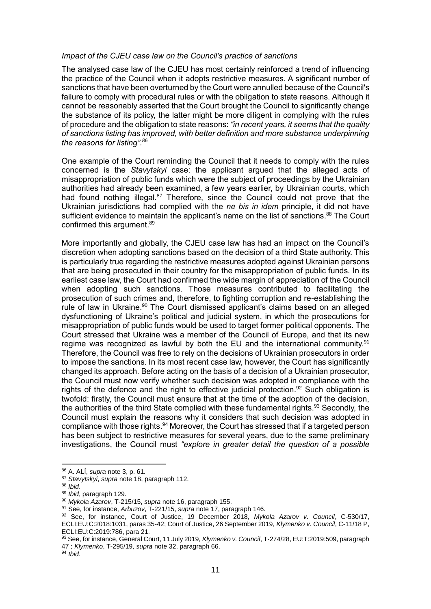### *Impact of the CJEU case law on the Council's practice of sanctions*

The analysed case law of the CJEU has most certainly reinforced a trend of influencing the practice of the Council when it adopts restrictive measures. A significant number of sanctions that have been overturned by the Court were annulled because of the Council's failure to comply with procedural rules or with the obligation to state reasons. Although it cannot be reasonably asserted that the Court brought the Council to significantly change the substance of its policy, the latter might be more diligent in complying with the rules of procedure and the obligation to state reasons: *"in recent years, it seems that the quality of sanctions listing has improved, with better definition and more substance underpinning the reasons for listing"*. *86*

One example of the Court reminding the Council that it needs to comply with the rules concerned is the *Stavytskyi* case: the applicant argued that the alleged acts of misappropriation of public funds which were the subject of proceedings by the Ukrainian authorities had already been examined, a few years earlier, by Ukrainian courts, which had found nothing illegal.<sup>87</sup> Therefore, since the Council could not prove that the Ukrainian jurisdictions had complied with the *ne bis in idem* principle, it did not have sufficient evidence to maintain the applicant's name on the list of sanctions.<sup>88</sup> The Court confirmed this argument. 89

More importantly and globally, the CJEU case law has had an impact on the Council's discretion when adopting sanctions based on the decision of a third State authority. This is particularly true regarding the restrictive measures adopted against Ukrainian persons that are being prosecuted in their country for the misappropriation of public funds. In its earliest case law, the Court had confirmed the wide margin of appreciation of the Council when adopting such sanctions. Those measures contributed to facilitating the prosecution of such crimes and, therefore, to fighting corruption and re-establishing the rule of law in Ukraine.<sup>90</sup> The Court dismissed applicant's claims based on an alleged dysfunctioning of Ukraine's political and judicial system, in which the prosecutions for misappropriation of public funds would be used to target former political opponents. The Court stressed that Ukraine was a member of the Council of Europe, and that its new regime was recognized as lawful by both the EU and the international community.<sup>91</sup> Therefore, the Council was free to rely on the decisions of Ukrainian prosecutors in order to impose the sanctions. In its most recent case law, however, the Court has significantly changed its approach. Before acting on the basis of a decision of a Ukrainian prosecutor, the Council must now verify whether such decision was adopted in compliance with the rights of the defence and the right to effective judicial protection.<sup>92</sup> Such obligation is twofold: firstly, the Council must ensure that at the time of the adoption of the decision, the authorities of the third State complied with these fundamental rights.<sup>93</sup> Secondly, the Council must explain the reasons why it considers that such decision was adopted in compliance with those rights. <sup>94</sup> Moreover, the Court has stressed that if a targeted person has been subject to restrictive measures for several years, due to the same preliminary investigations, the Council must *"explore in greater detail the question of a possible* 

<sup>86</sup> A. ALÍ, *supra* note 3, p. 61*.*

<sup>87</sup> *Stavytskyi*, *supra* note 18, paragraph 112.

<sup>88</sup> *Ibid*.

<sup>89</sup> *Ibid*, paragraph 129.

<sup>90</sup> *Mykola Azarov*, T-215/15, *supra* note 16, paragraph 155.

<sup>91</sup> See, for instance, *Arbuzov*, T-221/15, *supra* note 17, paragraph 146.

<sup>92</sup> See, for instance, Court of Justice, 19 December 2018, *Mykola Azarov v. Council*, C-530/17, ECLI:EU:C:2018:1031, paras 35-42; Court of Justice, 26 September 2019, *Klymenko v. Council*, C-11/18 P, ECLI:EU:C:2019:786, para 21.

<sup>93</sup> See, for instance, General Court, 11 July 2019, *Klymenko v. Council*, T-274/28, EU:T:2019:509, paragraph 47 ; *Klymenko*, T-295/19, *supra* note 32, paragraph 66.

<sup>94</sup> *Ibid*.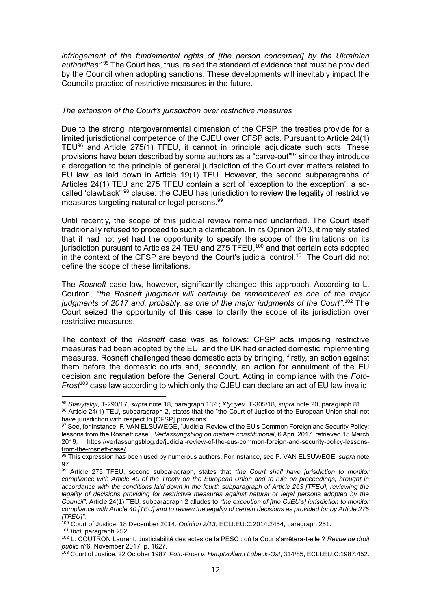*infringement of the fundamental rights of [the person concerned] by the Ukrainian authorities".* <sup>95</sup> The Court has, thus, raised the standard of evidence that must be provided by the Council when adopting sanctions. These developments will inevitably impact the Council's practice of restrictive measures in the future.

### *The extension of the Court's jurisdiction over restrictive measures*

Due to the strong intergovernmental dimension of the CFSP, the treaties provide for a limited jurisdictional competence of the CJEU over CFSP acts. Pursuant to Article 24(1) TEU $96$  and Article 275(1) TFEU, it cannot in principle adjudicate such acts. These provisions have been described by some authors as a "carve-out"<sup>97</sup> since they introduce a derogation to the principle of general jurisdiction of the Court over matters related to EU law, as laid down in Article 19(1) TEU. However, the second subparagraphs of Articles 24(1) TEU and 275 TFEU contain a sort of 'exception to the exception', a socalled 'clawback" <sup>98</sup> clause: the CJEU has jurisdiction to review the legality of restrictive measures targeting natural or legal persons. 99

Until recently, the scope of this judicial review remained unclarified. The Court itself traditionally refused to proceed to such a clarification. In its Opinion 2/13, it merely stated that it had not yet had the opportunity to specify the scope of the limitations on its jurisdiction pursuant to Articles 24 TEU and 275 TFEU,<sup>100</sup> and that certain acts adopted in the context of the CFSP are beyond the Court's judicial control. <sup>101</sup> The Court did not define the scope of these limitations.

The *Rosneft* case law, however, significantly changed this approach. According to L. Coutron, *"the Rosneft judgment will certainly be remembered as one of the major*  judgments of 2017 and, probably, as one of the major judgments of the Court".<sup>102</sup> The Court seized the opportunity of this case to clarify the scope of its jurisdiction over restrictive measures.

The context of the *Rosneft* case was as follows: CFSP acts imposing restrictive measures had been adopted by the EU, and the UK had enacted domestic implementing measures. Rosneft challenged these domestic acts by bringing, firstly, an action against them before the domestic courts and, secondly, an action for annulment of the EU decision and regulation before the General Court. Acting in compliance with the *Foto-Frost*<sup>103</sup> case law according to which only the CJEU can declare an act of EU law invalid,

**.** 

<sup>95</sup> *Stavytskyi*, T-290/17, *supra* note 18, paragraph 132 ; *Klyuyev*, T-305/18, *supra* note 20, paragraph 81. 96 Article 24(1) TEU, subparagraph 2, states that the "the Court of Justice of the European Union shall not have jurisdiction with respect to [CFSP] provisions".

<sup>97</sup> See, for instance, P. VAN ELSUWEGE, "Judicial Review of the EU's Common Foreign and Security Policy: lessons from the Rosneft case", *Verfassungsblog on matters constitutional*, 6 April 2017, retrieved 15 March 2019, [https://verfassungsblog.de/judicial-review-of-the-eus-common-foreign-and-security-policy-lessons](https://verfassungsblog.de/judicial-review-of-the-eus-common-foreign-and-security-policy-lessons-from-the-rosneft-case/)[from-the-rosneft-case/](https://verfassungsblog.de/judicial-review-of-the-eus-common-foreign-and-security-policy-lessons-from-the-rosneft-case/)

<sup>98</sup> This expression has been used by numerous authors. For instance, see P. VAN ELSUWEGE, *supra* note 97.

<sup>99</sup> Article 275 TFEU, second subparagraph, states that *"the Court shall have jurisdiction to monitor compliance with Article 40 of the Treaty on the European Union and to rule on proceedings, brought in accordance with the conditions laid down in the fourth subparagraph of Article 263 [TFEU], reviewing the*  legality of decisions providing for restrictive measures against natural or legal persons adopted by the *Council".* Article 24(1) TEU, subparagraph 2 alludes to *"the exception of [the CJEU's] jurisdiction to monitor compliance with Article 40 [TEU] and to review the legality of certain decisions as provided for by Article 275 [TFEU]"*.

<sup>100</sup> Court of Justice, 18 December 2014, *Opinion 2/13*, ECLI:EU:C:2014:2454, paragraph 251. <sup>101</sup> *Ibid*, paragraph 252.

<sup>102</sup> L. COUTRON Laurent, Justiciabilité des actes de la PESC : où la Cour s'arrêtera-t-elle ? *Revue de droit public* n°6, November 2017, p. 1627.

<sup>103</sup> Court of Justice, 22 October 1987, *Foto-Frost v. Hauptzollamt Lübeck-Ost*, 314/85, ECLI:EU:C:1987:452.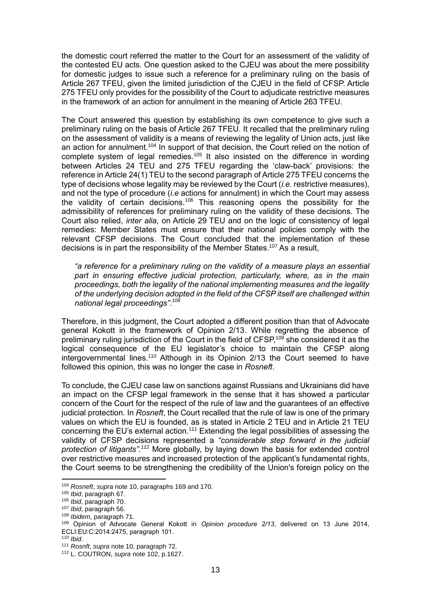the domestic court referred the matter to the Court for an assessment of the validity of the contested EU acts. One question asked to the CJEU was about the mere possibility for domestic judges to issue such a reference for a preliminary ruling on the basis of Article 267 TFEU, given the limited jurisdiction of the CJEU in the field of CFSP. Article 275 TFEU only provides for the possibility of the Court to adjudicate restrictive measures in the framework of an action for annulment in the meaning of Article 263 TFEU.

The Court answered this question by establishing its own competence to give such a preliminary ruling on the basis of Article 267 TFEU. It recalled that the preliminary ruling on the assessment of validity is a means of reviewing the legality of Union acts, just like an action for annulment.<sup>104</sup> In support of that decision, the Court relied on the notion of complete system of legal remedies.<sup>105</sup> It also insisted on the difference in wording between Articles 24 TEU and 275 TFEU regarding the 'claw-back' provisions: the reference in Article 24(1) TEU to the second paragraph of Article 275 TFEU concerns the type of decisions whose legality may be reviewed by the Court (*i.e*. restrictive measures), and not the type of procedure (*i.e* actions for annulment) in which the Court may assess the validity of certain decisions.<sup>106</sup> This reasoning opens the possibility for the admissibility of references for preliminary ruling on the validity of these decisions. The Court also relied, *inter alia*, on Article 29 TEU and on the logic of consistency of legal remedies: Member States must ensure that their national policies comply with the relevant CFSP decisions. The Court concluded that the implementation of these decisions is in part the responsibility of the Member States. <sup>107</sup> As a result,

*"a reference for a preliminary ruling on the validity of a measure plays an essential part in ensuring effective judicial protection, particularly, where, as in the main proceedings, both the legality of the national implementing measures and the legality of the underlying decision adopted in the field of the CFSP itself are challenged within national legal proceedings"*. *108*

Therefore, in this judgment, the Court adopted a different position than that of Advocate general Kokott in the framework of Opinion 2/13. While regretting the absence of preliminary ruling jurisdiction of the Court in the field of CFSP,<sup>109</sup> she considered it as the logical consequence of the EU legislator's choice to maintain the CFSP along intergovernmental lines.<sup>110</sup> Although in its Opinion 2/13 the Court seemed to have followed this opinion, this was no longer the case in *Rosneft*.

To conclude, the CJEU case law on sanctions against Russians and Ukrainians did have an impact on the CFSP legal framework in the sense that it has showed a particular concern of the Court for the respect of the rule of law and the guarantees of an effective judicial protection. In *Rosneft*, the Court recalled that the rule of law is one of the primary values on which the EU is founded, as is stated in Article 2 TEU and in Article 21 TEU concerning the EU's external action. <sup>111</sup> Extending the legal possibilities of assessing the validity of CFSP decisions represented a *"considerable step forward in the judicial protection of litigants"*. *<sup>112</sup>* More globally, by laying down the basis for extended control over restrictive measures and increased protection of the applicant's fundamental rights, the Court seems to be strengthening the credibility of the Union's foreign policy on the

**.** 

<sup>104</sup> *Rosneft*, *supra* note 10, paragraphs 169 and 170.

<sup>105</sup> *Ibid*, paragraph 67.

<sup>106</sup> *Ibid*, paragraph 70.

<sup>107</sup> *Ibid*, paragraph 56.

<sup>108</sup> *Ibidem*, paragraph 71.

<sup>109</sup> Opinion of Advocate General Kokott in *Opinion procedure 2/13*, delivered on 13 June 2014, ECLI:EU:C:2014:2475, paragraph 101.

<sup>110</sup> *Ibid*.

<sup>111</sup> *Rosnft*, *supra* note 10, paragraph 72*.*

<sup>112</sup> L. COUTRON, *supra* note 102, p.1627.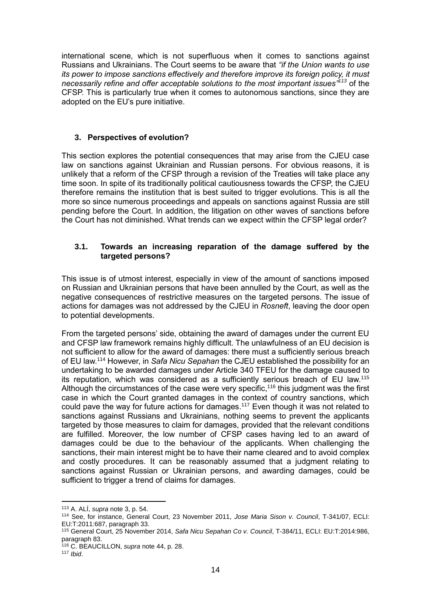international scene, which is not superfluous when it comes to sanctions against Russians and Ukrainians. The Court seems to be aware that *"if the Union wants to use its power to impose sanctions effectively and therefore improve its foreign policy, it must necessarily refine and offer acceptable solutions to the most important issues"<sup>113</sup>* of the CFSP. This is particularly true when it comes to autonomous sanctions, since they are adopted on the EU's pure initiative.

# **3. Perspectives of evolution?**

This section explores the potential consequences that may arise from the CJEU case law on sanctions against Ukrainian and Russian persons. For obvious reasons, it is unlikely that a reform of the CFSP through a revision of the Treaties will take place any time soon. In spite of its traditionally political cautiousness towards the CFSP, the CJEU therefore remains the institution that is best suited to trigger evolutions. This is all the more so since numerous proceedings and appeals on sanctions against Russia are still pending before the Court. In addition, the litigation on other waves of sanctions before the Court has not diminished. What trends can we expect within the CFSP legal order?

# **3.1. Towards an increasing reparation of the damage suffered by the targeted persons?**

This issue is of utmost interest, especially in view of the amount of sanctions imposed on Russian and Ukrainian persons that have been annulled by the Court, as well as the negative consequences of restrictive measures on the targeted persons. The issue of actions for damages was not addressed by the CJEU in *Rosneft*, leaving the door open to potential developments.

From the targeted persons' side, obtaining the award of damages under the current EU and CFSP law framework remains highly difficult. The unlawfulness of an EU decision is not sufficient to allow for the award of damages: there must a sufficiently serious breach of EU law. <sup>114</sup> However, in *Safa Nicu Sepahan* the CJEU established the possibility for an undertaking to be awarded damages under Article 340 TFEU for the damage caused to its reputation, which was considered as a sufficiently serious breach of EU law.<sup>115</sup> Although the circumstances of the case were very specific,<sup>116</sup> this judgment was the first case in which the Court granted damages in the context of country sanctions, which could pave the way for future actions for damages.<sup>117</sup> Even though it was not related to sanctions against Russians and Ukrainians, nothing seems to prevent the applicants targeted by those measures to claim for damages, provided that the relevant conditions are fulfilled. Moreover, the low number of CFSP cases having led to an award of damages could be due to the behaviour of the applicants. When challenging the sanctions, their main interest might be to have their name cleared and to avoid complex and costly procedures. It can be reasonably assumed that a judgment relating to sanctions against Russian or Ukrainian persons, and awarding damages, could be sufficient to trigger a trend of claims for damages.

<sup>113</sup> A. ALÍ, *supra* note 3, p. 54.

<sup>114</sup> See, for instance, General Court, 23 November 2011, *Jose Maria Sison v. Council*, T-341/07, ECLI: EU:T:2011:687, paragraph 33.

<sup>115</sup> General Court, 25 November 2014, *Safa Nicu Sepahan Co v. Council*, T-384/11, ECLI: EU:T:2014:986, paragraph 83.

<sup>116</sup> C. BEAUCILLON, *supra* note 44, p. 28.

<sup>117</sup> *Ibid*.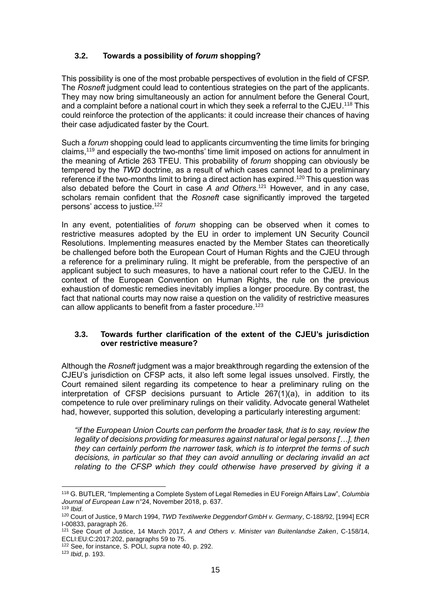# **3.2. Towards a possibility of** *forum* **shopping?**

This possibility is one of the most probable perspectives of evolution in the field of CFSP. The *Rosneft* judgment could lead to contentious strategies on the part of the applicants. They may now bring simultaneously an action for annulment before the General Court, and a complaint before a national court in which they seek a referral to the CJEU.<sup>118</sup> This could reinforce the protection of the applicants: it could increase their chances of having their case adjudicated faster by the Court.

Such a *forum* shopping could lead to applicants circumventing the time limits for bringing claims, <sup>119</sup> and especially the two-months' time limit imposed on actions for annulment in the meaning of Article 263 TFEU. This probability of *forum* shopping can obviously be tempered by the *TWD* doctrine, as a result of which cases cannot lead to a preliminary reference if the two-months limit to bring a direct action has expired.<sup>120</sup> This question was also debated before the Court in case *A and Others*. <sup>121</sup> However, and in any case, scholars remain confident that the *Rosneft* case significantly improved the targeted persons' access to justice. 122

In any event, potentialities of *forum* shopping can be observed when it comes to restrictive measures adopted by the EU in order to implement UN Security Council Resolutions. Implementing measures enacted by the Member States can theoretically be challenged before both the European Court of Human Rights and the CJEU through a reference for a preliminary ruling. It might be preferable, from the perspective of an applicant subject to such measures, to have a national court refer to the CJEU. In the context of the European Convention on Human Rights, the rule on the previous exhaustion of domestic remedies inevitably implies a longer procedure. By contrast, the fact that national courts may now raise a question on the validity of restrictive measures can allow applicants to benefit from a faster procedure.<sup>123</sup>

# **3.3. Towards further clarification of the extent of the CJEU's jurisdiction over restrictive measure?**

Although the *Rosneft* judgment was a major breakthrough regarding the extension of the CJEU's jurisdiction on CFSP acts, it also left some legal issues unsolved. Firstly, the Court remained silent regarding its competence to hear a preliminary ruling on the interpretation of CFSP decisions pursuant to Article 267(1)(a), in addition to its competence to rule over preliminary rulings on their validity. Advocate general Wathelet had, however, supported this solution, developing a particularly interesting argument:

*"if the European Union Courts can perform the broader task, that is to say, review the legality of decisions providing for measures against natural or legal persons […], then they can certainly perform the narrower task, which is to interpret the terms of such decisions, in particular so that they can avoid annulling or declaring invalid an act relating to the CFSP which they could otherwise have preserved by giving it a* 

<sup>1</sup> <sup>118</sup> G. BUTLER, "Implementing a Complete System of Legal Remedies in EU Foreign Affairs Law", *Columbia Journal of European Law* n°24, November 2018, p. 637.

<sup>119</sup> *Ibid*.

<sup>120</sup> Court of Justice, 9 March 1994, *TWD Textilwerke Deggendorf GmbH v. Germany*, C-188/92, [1994] ECR I-00833, paragraph 26.

<sup>121</sup> See Court of Justice, 14 March 2017, *A and Others v. Minister van Buitenlandse Zaken*, C-158/14, ECLI:EU:C:2017:202, paragraphs 59 to 75.

<sup>122</sup> See, for instance, S. POLI, *supra* note 40, p. 292.

<sup>123</sup> *Ibid*, p. 193.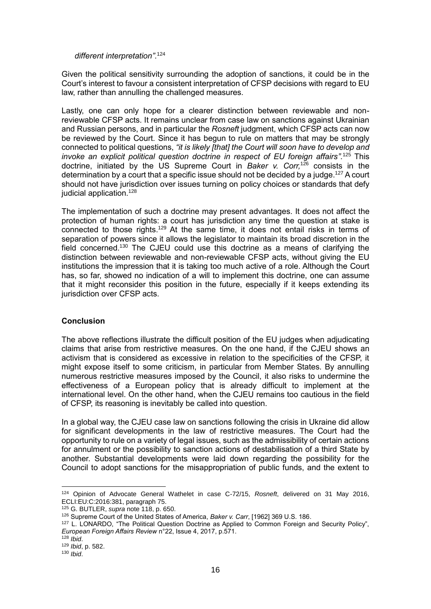# *different interpretation"*. 124

Given the political sensitivity surrounding the adoption of sanctions, it could be in the Court's interest to favour a consistent interpretation of CFSP decisions with regard to EU law, rather than annulling the challenged measures.

Lastly, one can only hope for a clearer distinction between reviewable and nonreviewable CFSP acts. It remains unclear from case law on sanctions against Ukrainian and Russian persons, and in particular the *Rosneft* judgment, which CFSP acts can now be reviewed by the Court. Since it has begun to rule on matters that may be strongly connected to political questions, *"it is likely [that] the Court will soon have to develop and*  invoke an explicit political question doctrine in respect of EU foreign affairs".<sup>125</sup> This doctrine, initiated by the US Supreme Court in *Baker v. Corr,* <sup>126</sup> consists in the determination by a court that a specific issue should not be decided by a judge.<sup>127</sup> A court should not have jurisdiction over issues turning on policy choices or standards that defy judicial application.<sup>128</sup>

The implementation of such a doctrine may present advantages. It does not affect the protection of human rights: a court has jurisdiction any time the question at stake is connected to those rights.<sup>129</sup> At the same time, it does not entail risks in terms of separation of powers since it allows the legislator to maintain its broad discretion in the field concerned.<sup>130</sup> The CJEU could use this doctrine as a means of clarifying the distinction between reviewable and non-reviewable CFSP acts, without giving the EU institutions the impression that it is taking too much active of a role. Although the Court has, so far, showed no indication of a will to implement this doctrine, one can assume that it might reconsider this position in the future, especially if it keeps extending its jurisdiction over CFSP acts.

## **Conclusion**

The above reflections illustrate the difficult position of the EU judges when adjudicating claims that arise from restrictive measures. On the one hand, if the CJEU shows an activism that is considered as excessive in relation to the specificities of the CFSP, it might expose itself to some criticism, in particular from Member States. By annulling numerous restrictive measures imposed by the Council, it also risks to undermine the effectiveness of a European policy that is already difficult to implement at the international level. On the other hand, when the CJEU remains too cautious in the field of CFSP, its reasoning is inevitably be called into question.

In a global way, the CJEU case law on sanctions following the crisis in Ukraine did allow for significant developments in the law of restrictive measures. The Court had the opportunity to rule on a variety of legal issues, such as the admissibility of certain actions for annulment or the possibility to sanction actions of destabilisation of a third State by another. Substantial developments were laid down regarding the possibility for the Council to adopt sanctions for the misappropriation of public funds, and the extent to

<sup>1</sup> <sup>124</sup> Opinion of Advocate General Wathelet in case C-72/15, *Rosneft*, delivered on 31 May 2016, ECLI:EU:C:2016:381, paragraph 75.

<sup>125</sup> G. BUTLER, *supra* note 118, p. 650.

<sup>126</sup> Supreme Court of the United States of America, *Baker v. Carr*, [1962] 369 U.S. 186.

<sup>127</sup> L. LONARDO, "The Political Question Doctrine as Applied to Common Foreign and Security Policy". *European Foreign Affairs Review* n°22, Issue 4, 2017, p.571.

<sup>128</sup> *Ibid*.

<sup>129</sup> *Ibid*, p. 582.

<sup>130</sup> *Ibid*.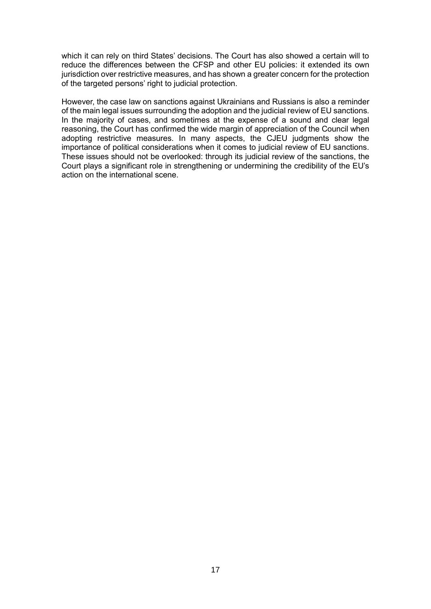which it can rely on third States' decisions. The Court has also showed a certain will to reduce the differences between the CFSP and other EU policies: it extended its own jurisdiction over restrictive measures, and has shown a greater concern for the protection of the targeted persons' right to judicial protection.

However, the case law on sanctions against Ukrainians and Russians is also a reminder of the main legal issues surrounding the adoption and the judicial review of EU sanctions. In the majority of cases, and sometimes at the expense of a sound and clear legal reasoning, the Court has confirmed the wide margin of appreciation of the Council when adopting restrictive measures. In many aspects, the CJEU judgments show the importance of political considerations when it comes to judicial review of EU sanctions. These issues should not be overlooked: through its judicial review of the sanctions, the Court plays a significant role in strengthening or undermining the credibility of the EU's action on the international scene.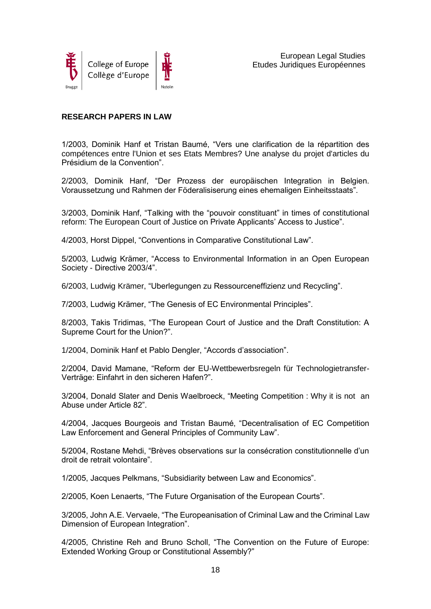

# **RESEARCH PAPERS IN LAW**

1/2003, Dominik Hanf et Tristan Baumé, "Vers une clarification de la répartition des compétences entre l'Union et ses Etats Membres? Une analyse du projet d'articles du Présidium de la Convention".

2/2003, Dominik Hanf, "Der Prozess der europäischen Integration in Belgien. Voraussetzung und Rahmen der Föderalisiserung eines ehemaligen Einheitsstaats".

3/2003, Dominik Hanf, "Talking with the "pouvoir constituant" in times of constitutional reform: The European Court of Justice on Private Applicants' Access to Justice".

4/2003, Horst Dippel, "Conventions in Comparative Constitutional Law".

5/2003, Ludwig Krämer, "Access to Environmental Information in an Open European Society - Directive 2003/4".

6/2003, Ludwig Krämer, "Uberlegungen zu Ressourceneffizienz und Recycling".

7/2003, Ludwig Krämer, "The Genesis of EC Environmental Principles".

8/2003, Takis Tridimas, "The European Court of Justice and the Draft Constitution: A Supreme Court for the Union?".

1/2004, Dominik Hanf et Pablo Dengler, "Accords d'association".

2/2004, David Mamane, "Reform der EU-Wettbewerbsregeln für Technologietransfer-Verträge: Einfahrt in den sicheren Hafen?".

3/2004, Donald Slater and Denis Waelbroeck, "Meeting Competition : Why it is not an Abuse under Article 82".

4/2004, Jacques Bourgeois and Tristan Baumé, "Decentralisation of EC Competition Law Enforcement and General Principles of Community Law".

5/2004, Rostane Mehdi, "Brèves observations sur la consécration constitutionnelle d'un droit de retrait volontaire".

1/2005, Jacques Pelkmans, "Subsidiarity between Law and Economics".

2/2005, Koen Lenaerts, "The Future Organisation of the European Courts".

3/2005, John A.E. Vervaele, "The Europeanisation of Criminal Law and the Criminal Law Dimension of European Integration".

4/2005, Christine Reh and Bruno Scholl, "The Convention on the Future of Europe: Extended Working Group or Constitutional Assembly?"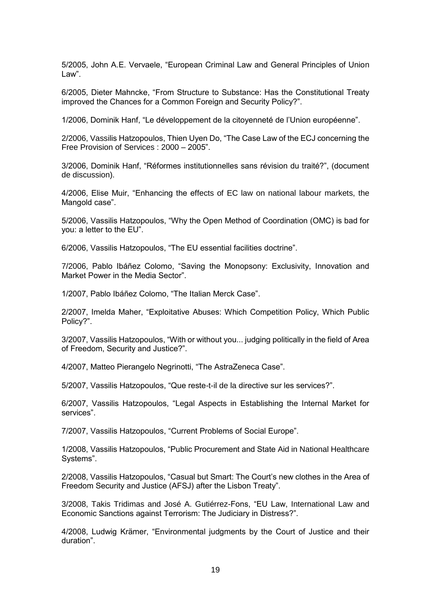5/2005, John A.E. Vervaele, "European Criminal Law and General Principles of Union Law".

6/2005, Dieter Mahncke, "From Structure to Substance: Has the Constitutional Treaty improved the Chances for a Common Foreign and Security Policy?".

1/2006, Dominik Hanf, "Le développement de la citoyenneté de l'Union européenne".

2/2006, Vassilis Hatzopoulos, Thien Uyen Do, "The Case Law of the ECJ concerning the Free Provision of Services : 2000 – 2005".

3/2006, Dominik Hanf, "Réformes institutionnelles sans révision du traité?", (document de discussion).

4/2006, Elise Muir, "Enhancing the effects of EC law on national labour markets, the Mangold case".

5/2006, Vassilis Hatzopoulos, "Why the Open Method of Coordination (OMC) is bad for you: a letter to the EU".

6/2006, Vassilis Hatzopoulos, "The EU essential facilities doctrine".

7/2006, Pablo Ibáñez Colomo, "Saving the Monopsony: Exclusivity, Innovation and Market Power in the Media Sector".

1/2007, Pablo Ibáñez Colomo, "The Italian Merck Case".

2/2007, Imelda Maher, "Exploitative Abuses: Which Competition Policy, Which Public Policy?".

3/2007, Vassilis Hatzopoulos, "With or without you... judging politically in the field of Area of Freedom, Security and Justice?".

4/2007, Matteo Pierangelo Negrinotti, "The AstraZeneca Case".

5/2007, Vassilis Hatzopoulos, "Que reste-t-il de la directive sur les services?".

6/2007, Vassilis Hatzopoulos, "Legal Aspects in Establishing the Internal Market for services".

7/2007, Vassilis Hatzopoulos, "Current Problems of Social Europe".

1/2008, Vassilis Hatzopoulos, "Public Procurement and State Aid in National Healthcare Systems".

2/2008, Vassilis Hatzopoulos, "Casual but Smart: The Court's new clothes in the Area of Freedom Security and Justice (AFSJ) after the Lisbon Treaty".

3/2008, Takis Tridimas and José A. Gutiérrez-Fons, "EU Law, International Law and Economic Sanctions against Terrorism: The Judiciary in Distress?".

4/2008, Ludwig Krämer, "Environmental judgments by the Court of Justice and their duration".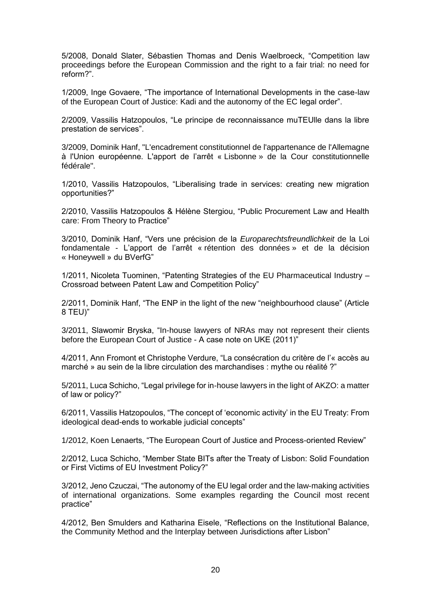5/2008, Donald Slater, Sébastien Thomas and Denis Waelbroeck, "Competition law proceedings before the European Commission and the right to a fair trial: no need for reform?".

1/2009, Inge Govaere, "The importance of International Developments in the case-law of the European Court of Justice: Kadi and the autonomy of the EC legal order".

2/2009, Vassilis Hatzopoulos, "Le principe de reconnaissance muTEUlle dans la libre prestation de services".

3/2009, Dominik Hanf, "L'encadrement constitutionnel de l'appartenance de l'Allemagne à l'Union européenne. L'apport de l'arrêt « Lisbonne » de la Cour constitutionnelle fédérale".

1/2010, Vassilis Hatzopoulos, "Liberalising trade in services: creating new migration opportunities?"

2/2010, Vassilis Hatzopoulos & Hélène Stergiou, "Public Procurement Law and Health care: From Theory to Practice"

3/2010, Dominik Hanf, "Vers une précision de la *Europarechtsfreundlichkeit* de la Loi fondamentale - L'apport de l'arrêt « rétention des données » et de la décision « Honeywell » du BVerfG"

1/2011, Nicoleta Tuominen, "Patenting Strategies of the EU Pharmaceutical Industry – Crossroad between Patent Law and Competition Policy"

2/2011, Dominik Hanf, "The ENP in the light of the new "neighbourhood clause" (Article 8 TEU)"

3/2011, Slawomir Bryska, "In-house lawyers of NRAs may not represent their clients before the European Court of Justice - A case note on UKE (2011)"

4/2011, Ann Fromont et Christophe Verdure, "La consécration du critère de l'« accès au marché » au sein de la libre circulation des marchandises : mythe ou réalité ?"

5/2011, Luca Schicho, "Legal privilege for in-house lawyers in the light of AKZO: a matter of law or policy?"

6/2011, Vassilis Hatzopoulos, "The concept of 'economic activity' in the EU Treaty: From ideological dead-ends to workable judicial concepts"

1/2012, Koen Lenaerts, "The European Court of Justice and Process-oriented Review"

2/2012, Luca Schicho, "Member State BITs after the Treaty of Lisbon: Solid Foundation or First Victims of EU Investment Policy?"

3/2012, Jeno Czuczai, "The autonomy of the EU legal order and the law-making activities of international organizations. Some examples regarding the Council most recent practice"

4/2012, Ben Smulders and Katharina Eisele, "Reflections on the Institutional Balance, the Community Method and the Interplay between Jurisdictions after Lisbon"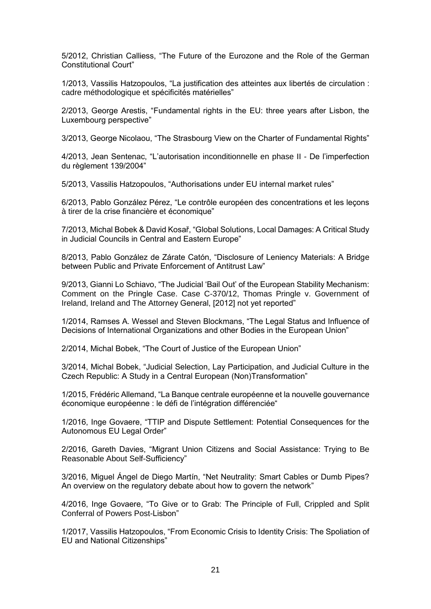5/2012, Christian Calliess, "The Future of the Eurozone and the Role of the German Constitutional Court"

1/2013, Vassilis Hatzopoulos, "La justification des atteintes aux libertés de circulation : cadre méthodologique et spécificités matérielles"

2/2013, George Arestis, "Fundamental rights in the EU: three years after Lisbon, the Luxembourg perspective"

3/2013, George Nicolaou, "The Strasbourg View on the Charter of Fundamental Rights"

4/2013, Jean Sentenac, "L'autorisation inconditionnelle en phase II - De l'imperfection du règlement 139/2004"

5/2013, Vassilis Hatzopoulos, "Authorisations under EU internal market rules"

6/2013, Pablo González Pérez, "Le contrôle européen des concentrations et les leçons à tirer de la crise financière et économique"

7/2013, Michal Bobek & David Kosař, "Global Solutions, Local Damages: A Critical Study in Judicial Councils in Central and Eastern Europe"

8/2013, Pablo González de Zárate Catón, "Disclosure of Leniency Materials: A Bridge between Public and Private Enforcement of Antitrust Law"

9/2013, Gianni Lo Schiavo, "The Judicial 'Bail Out' of the European Stability Mechanism: Comment on the Pringle Case. Case C-370/12, Thomas Pringle v. Government of Ireland, Ireland and The Attorney General, [2012] not yet reported"

1/2014, Ramses A. Wessel and Steven Blockmans, "The Legal Status and Influence of Decisions of International Organizations and other Bodies in the European Union"

2/2014, Michal Bobek, "The Court of Justice of the European Union"

3/2014, Michal Bobek, "Judicial Selection, Lay Participation, and Judicial Culture in the Czech Republic: A Study in a Central European (Non)Transformation"

1/2015, Frédéric Allemand, "La Banque centrale européenne et la nouvelle gouvernance économique européenne : le défi de l'intégration différenciée"

1/2016, Inge Govaere, "TTIP and Dispute Settlement: Potential Consequences for the Autonomous EU Legal Order"

2/2016, Gareth Davies, "Migrant Union Citizens and Social Assistance: Trying to Be Reasonable About Self-Sufficiency"

3/2016, Miguel Ángel de Diego Martín, "Net Neutrality: Smart Cables or Dumb Pipes? An overview on the regulatory debate about how to govern the network"

4/2016, Inge Govaere, "To Give or to Grab: The Principle of Full, Crippled and Split Conferral of Powers Post-Lisbon"

1/2017, Vassilis Hatzopoulos, "From Economic Crisis to Identity Crisis: The Spoliation of EU and National Citizenships"